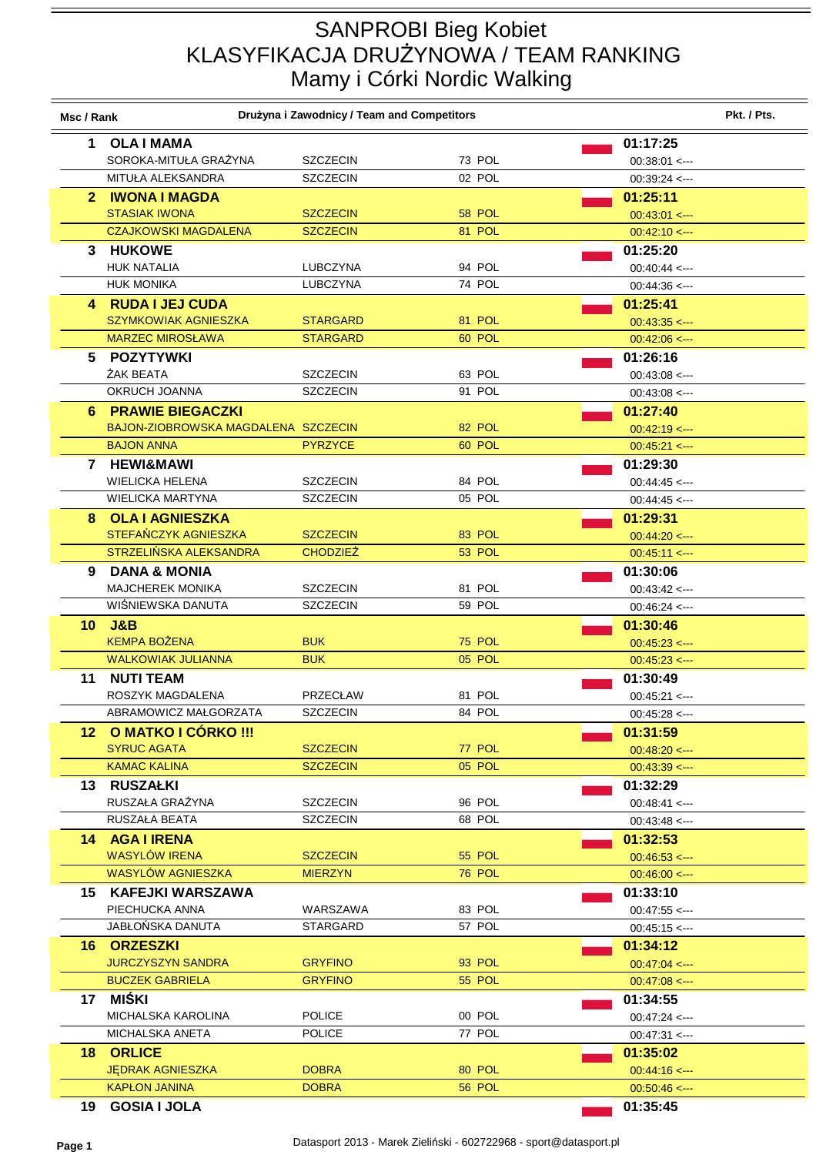## SANPROBI Bieg Kobiet KLASYFIKACJA DRUŻYNOWA / TEAM RANKING Mamy i Córki Nordic Walking

| Msc / Rank      |                                              | Drużyna i Zawodnicy / Team and Competitors |                  |                                                | Pkt. / Pts. |
|-----------------|----------------------------------------------|--------------------------------------------|------------------|------------------------------------------------|-------------|
| 1               | <b>OLA I MAMA</b>                            |                                            |                  | 01:17:25                                       |             |
|                 | SOROKA-MITUŁA GRAŻYNA                        | <b>SZCZECIN</b>                            | 73 POL           | $00:38:01 \leftarrow$                          |             |
|                 | MITUŁA ALEKSANDRA                            | <b>SZCZECIN</b>                            | 02 POL           | $00:39:24 \leftarrow$                          |             |
|                 | 2 IWONA I MAGDA                              |                                            |                  | 01:25:11                                       |             |
|                 | <b>STASIAK IWONA</b>                         | <b>SZCZECIN</b>                            | 58 POL           | $00:43:01 \leftarrow$                          |             |
|                 | <b>CZAJKOWSKI MAGDALENA</b>                  | <b>SZCZECIN</b>                            | 81 POL           | $00:42:10 \leftarrow$                          |             |
|                 | 3 HUKOWE                                     |                                            |                  | 01:25:20                                       |             |
|                 | <b>HUK NATALIA</b>                           | <b>LUBCZYNA</b>                            | 94 POL           | $00:40:44 \leftarrow$                          |             |
|                 | <b>HUK MONIKA</b>                            | LUBCZYNA                                   | 74 POL           | $00:44:36 \leftarrow$                          |             |
|                 | 4 RUDA I JEJ CUDA                            |                                            |                  | 01:25:41                                       |             |
|                 | <b>SZYMKOWIAK AGNIESZKA</b>                  | <b>STARGARD</b>                            | 81 POL           | $00:43:35 \leftarrow$                          |             |
|                 | <b>MARZEC MIROSŁAWA</b>                      | <b>STARGARD</b>                            | 60 POL           | $00:42:06 \leftarrow$                          |             |
|                 | 5 POZYTYWKI                                  |                                            |                  | 01:26:16                                       |             |
|                 | ŻAK BEATA                                    | <b>SZCZECIN</b>                            | 63 POL           | $00:43:08 \leq$                                |             |
|                 | OKRUCH JOANNA                                | <b>SZCZECIN</b>                            | 91 POL           | $00:43:08 \leftarrow$                          |             |
|                 | <b>6 PRAWIE BIEGACZKI</b>                    |                                            |                  | 01:27:40                                       |             |
|                 | BAJON-ZIOBROWSKA MAGDALENA SZCZECIN          |                                            | 82 POL           | $00:42:19 \leftarrow$                          |             |
|                 | <b>BAJON ANNA</b>                            | <b>PYRZYCE</b>                             | 60 POL           | $00:45:21$ <--                                 |             |
| $\mathbf{7}$    | <b>HEWI&amp;MAWI</b>                         |                                            |                  | 01:29:30                                       |             |
|                 | <b>WIELICKA HELENA</b>                       | <b>SZCZECIN</b>                            | 84 POL           | $00:44:45 < -$                                 |             |
|                 | WIELICKA MARTYNA                             | <b>SZCZECIN</b>                            | 05 POL           | $00:44:45 \leftarrow$                          |             |
|                 | 8 OLA I AGNIESZKA                            |                                            |                  | 01:29:31                                       |             |
|                 | STEFAŃCZYK AGNIESZKA                         | <b>SZCZECIN</b>                            | 83 POL           | $00.44.20 < -$                                 |             |
|                 | STRZELIŃSKA ALEKSANDRA                       | <b>CHODZIEŻ</b>                            | 53 POL           | $00:45:11$ <--                                 |             |
| 9               | <b>DANA &amp; MONIA</b>                      |                                            |                  | 01:30:06                                       |             |
|                 | <b>MAJCHEREK MONIKA</b><br>WIŚNIEWSKA DANUTA | <b>SZCZECIN</b><br><b>SZCZECIN</b>         | 81 POL<br>59 POL | $00:43:42 \leq -1$                             |             |
|                 |                                              |                                            |                  | $00:46:24 \leftarrow$                          |             |
| 10 <sup>°</sup> | J&B<br><b>KEMPA BOŻENA</b>                   | <b>BUK</b>                                 | <b>75 POL</b>    | 01:30:46                                       |             |
|                 | <b>WALKOWIAK JULIANNA</b>                    | <b>BUK</b>                                 | 05 POL           | $00.45.23 \leftarrow$<br>$00.45.23 \leftarrow$ |             |
| 11              | <b>NUTI TEAM</b>                             |                                            |                  | 01:30:49                                       |             |
|                 | ROSZYK MAGDALENA                             | <b>PRZECŁAW</b>                            | 81 POL           | $00:45:21 \leftarrow$                          |             |
|                 | ABRAMOWICZ MAŁGORZATA                        | <b>SZCZECIN</b>                            | 84 POL           | $00:45:28$ <--                                 |             |
|                 | 12 O MATKO I CÓRKO !!!                       |                                            |                  | 01:31:59                                       |             |
|                 | <b>SYRUC AGATA</b>                           | <b>SZCZECIN</b>                            | 77 POL           | $00:48:20 \leq -$                              |             |
|                 | <b>KAMAC KALINA</b>                          | <b>SZCZECIN</b>                            | 05 POL           | $00.43.39 \leftarrow$                          |             |
|                 | 13 RUSZAŁKI                                  |                                            |                  | 01:32:29                                       |             |
|                 | RUSZAŁA GRAŻYNA                              | <b>SZCZECIN</b>                            | 96 POL           | $00:48:41 \leq -$                              |             |
|                 | RUSZAŁA BEATA                                | <b>SZCZECIN</b>                            | 68 POL           | $00:43:48 \leq$                                |             |
|                 | 14 AGA I IRENA                               |                                            |                  | 01:32:53                                       |             |
|                 | <b>WASYLÓW IRENA</b>                         | <b>SZCZECIN</b>                            | 55 POL           | $00.46:53 \leftarrow$                          |             |
|                 | <b>WASYLOW AGNIESZKA</b>                     | <b>MIERZYN</b>                             | <b>76 POL</b>    | $00:46:00 \leq$                                |             |
|                 | 15 KAFEJKI WARSZAWA                          |                                            |                  | 01:33:10                                       |             |
|                 | PIECHUCKA ANNA                               | WARSZAWA                                   | 83 POL           | $00:47:55 \leftarrow$                          |             |
|                 | JABŁOŃSKA DANUTA                             | STARGARD                                   | 57 POL           | $00:45:15 \leftarrow$                          |             |
|                 | <b>16 ORZESZKI</b>                           |                                            |                  | 01:34:12                                       |             |
|                 | <b>JURCZYSZYN SANDRA</b>                     | <b>GRYFINO</b>                             | 93 POL           | $00:47:04 \leq$                                |             |
|                 | <b>BUCZEK GABRIELA</b>                       | <b>GRYFINO</b>                             | <b>55 POL</b>    | $00.47:08 \leftarrow$                          |             |
| 17              | MIŚKI                                        |                                            |                  | 01:34:55                                       |             |
|                 | MICHALSKA KAROLINA                           | <b>POLICE</b>                              | 00 POL           | $00:47:24 \leq -$                              |             |
|                 | MICHALSKA ANETA                              | <b>POLICE</b>                              | 77 POL           | $00.47.31 < -$                                 |             |
|                 | <b>18 ORLICE</b>                             |                                            |                  | 01:35:02                                       |             |
|                 | <b>JEDRAK AGNIESZKA</b>                      | <b>DOBRA</b>                               | 80 POL           | $00:44:16 \leq$                                |             |
|                 | <b>KAPŁON JANINA</b>                         | <b>DOBRA</b>                               | <b>56 POL</b>    | $00:50:46 \leftarrow$                          |             |
| 19.             | <b>GOSIA I JOLA</b>                          |                                            |                  | 01:35:45                                       |             |